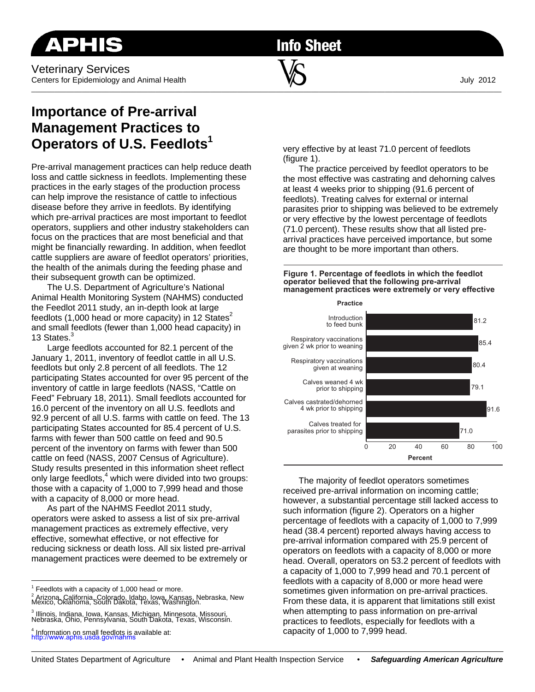**Info Sheet** 

# **Importance of Pre-arrival Management Practices to Operators of U.S. Feedlots1**

Pre-arrival management practices can help reduce death loss and cattle sickness in feedlots. Implementing these practices in the early stages of the production process can help improve the resistance of cattle to infectious disease before they arrive in feedlots. By identifying which pre-arrival practices are most important to feedlot operators, suppliers and other industry stakeholders can focus on the practices that are most beneficial and that might be financially rewarding. In addition, when feedlot cattle suppliers are aware of feedlot operators' priorities, the health of the animals during the feeding phase and their subsequent growth can be optimized.

The U.S. Department of Agriculture's National Animal Health Monitoring System (NAHMS) conducted the Feedlot 2011 study, an in-depth look at large feedlots (1,000 head or more capacity) in 12 States<sup>2</sup> and small feedlots (fewer than 1,000 head capacity) in 13 States.

Large feedlots accounted for 82.1 percent of the January 1, 2011, inventory of feedlot cattle in all U.S. feedlots but only 2.8 percent of all feedlots. The 12 participating States accounted for over 95 percent of the inventory of cattle in large feedlots (NASS, "Cattle on Feed" February 18, 2011). Small feedlots accounted for 16.0 percent of the inventory on all U.S. feedlots and 92.9 percent of all U.S. farms with cattle on feed. The 13 participating States accounted for 85.4 percent of U.S. farms with fewer than 500 cattle on feed and 90.5 percent of the inventory on farms with fewer than 500 cattle on feed (NASS, 2007 Census of Agriculture). Study results presented in this information sheet reflect only large feedlots,<sup>4</sup> which were divided into two groups: those with a capacity of 1,000 to 7,999 head and those with a capacity of 8,000 or more head.

As part of the NAHMS Feedlot 2011 study, operators were asked to assess a list of six pre-arrival management practices as extremely effective, very effective, somewhat effective, or not effective for reducing sickness or death loss. All six listed pre-arrival management practices were deemed to be extremely or

 $1$  Feedlots with a capacity of 1,000 head or more.

very effective by at least 71.0 percent of feedlots (figure 1).

The practice perceived by feedlot operators to be the most effective was castrating and dehorning calves at least 4 weeks prior to shipping (91.6 percent of feedlots). Treating calves for external or internal parasites prior to shipping was believed to be extremely or very effective by the lowest percentage of feedlots (71.0 percent). These results show that all listed prearrival practices have perceived importance, but some are thought to be more important than others.





The majority of feedlot operators sometimes received pre-arrival information on incoming cattle; however, a substantial percentage still lacked access to such information (figure 2). Operators on a higher percentage of feedlots with a capacity of 1,000 to 7,999 head (38.4 percent) reported always having access to pre-arrival information compared with 25.9 percent of operators on feedlots with a capacity of 8,000 or more head. Overall, operators on 53.2 percent of feedlots with a capacity of 1,000 to 7,999 head and 70.1 percent of feedlots with a capacity of 8,000 or more head were sometimes given information on pre-arrival practices. From these data, it is apparent that limitations still exist when attempting to pass information on pre-arrival practices to feedlots, especially for feedlots with a capacity of 1,000 to 7,999 head.

<sup>&</sup>lt;sup>2</sup> Arizona, California, Colorado, Idaho, Iowa, Kansas, Nebraska, New<br>Mexico, Oklahoma, South Dakota, Texas, Washington.

<sup>3</sup> Illinois, Indiana, Iowa, Kansas, Michigan, Minnesota, Missouri, Nebraska, Ohio, Pennsylvania, South Dakota, Texas, Wisconsin.

<sup>4</sup> Information on small feedlots is available at: http://www.aphis.usda.gov/nahms